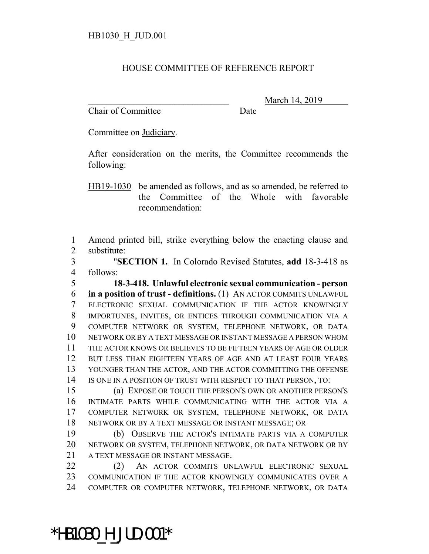## HOUSE COMMITTEE OF REFERENCE REPORT

Chair of Committee Date

\_\_\_\_\_\_\_\_\_\_\_\_\_\_\_\_\_\_\_\_\_\_\_\_\_\_\_\_\_\_\_ March 14, 2019

Committee on Judiciary.

After consideration on the merits, the Committee recommends the following:

HB19-1030 be amended as follows, and as so amended, be referred to the Committee of the Whole with favorable recommendation:

 Amend printed bill, strike everything below the enacting clause and substitute:

 "**SECTION 1.** In Colorado Revised Statutes, **add** 18-3-418 as follows:

 **18-3-418. Unlawful electronic sexual communication - person in a position of trust - definitions.** (1) AN ACTOR COMMITS UNLAWFUL ELECTRONIC SEXUAL COMMUNICATION IF THE ACTOR KNOWINGLY IMPORTUNES, INVITES, OR ENTICES THROUGH COMMUNICATION VIA A COMPUTER NETWORK OR SYSTEM, TELEPHONE NETWORK, OR DATA NETWORK OR BY A TEXT MESSAGE OR INSTANT MESSAGE A PERSON WHOM THE ACTOR KNOWS OR BELIEVES TO BE FIFTEEN YEARS OF AGE OR OLDER 12 BUT LESS THAN EIGHTEEN YEARS OF AGE AND AT LEAST FOUR YEARS YOUNGER THAN THE ACTOR, AND THE ACTOR COMMITTING THE OFFENSE IS ONE IN A POSITION OF TRUST WITH RESPECT TO THAT PERSON, TO:

 (a) EXPOSE OR TOUCH THE PERSON'S OWN OR ANOTHER PERSON'S INTIMATE PARTS WHILE COMMUNICATING WITH THE ACTOR VIA A COMPUTER NETWORK OR SYSTEM, TELEPHONE NETWORK, OR DATA NETWORK OR BY A TEXT MESSAGE OR INSTANT MESSAGE; OR

 (b) OBSERVE THE ACTOR'S INTIMATE PARTS VIA A COMPUTER NETWORK OR SYSTEM, TELEPHONE NETWORK, OR DATA NETWORK OR BY A TEXT MESSAGE OR INSTANT MESSAGE.

 (2) AN ACTOR COMMITS UNLAWFUL ELECTRONIC SEXUAL COMMUNICATION IF THE ACTOR KNOWINGLY COMMUNICATES OVER A COMPUTER OR COMPUTER NETWORK, TELEPHONE NETWORK, OR DATA

\*HB1030\_H\_JUD.001\*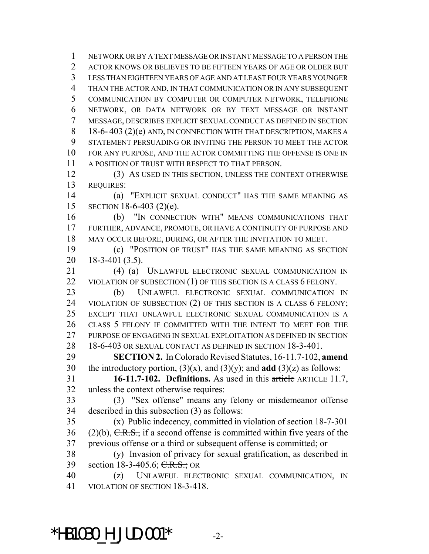NETWORK OR BY A TEXT MESSAGE OR INSTANT MESSAGE TO A PERSON THE ACTOR KNOWS OR BELIEVES TO BE FIFTEEN YEARS OF AGE OR OLDER BUT LESS THAN EIGHTEEN YEARS OF AGE AND AT LEAST FOUR YEARS YOUNGER THAN THE ACTOR AND, IN THAT COMMUNICATION OR IN ANY SUBSEQUENT COMMUNICATION BY COMPUTER OR COMPUTER NETWORK, TELEPHONE NETWORK, OR DATA NETWORK OR BY TEXT MESSAGE OR INSTANT MESSAGE, DESCRIBES EXPLICIT SEXUAL CONDUCT AS DEFINED IN SECTION 8 18-6- 403 (2)(e) AND, IN CONNECTION WITH THAT DESCRIPTION, MAKES A STATEMENT PERSUADING OR INVITING THE PERSON TO MEET THE ACTOR FOR ANY PURPOSE, AND THE ACTOR COMMITTING THE OFFENSE IS ONE IN A POSITION OF TRUST WITH RESPECT TO THAT PERSON. (3) AS USED IN THIS SECTION, UNLESS THE CONTEXT OTHERWISE REQUIRES: (a) "EXPLICIT SEXUAL CONDUCT" HAS THE SAME MEANING AS SECTION 18-6-403 (2)(e).

 (b) "IN CONNECTION WITH" MEANS COMMUNICATIONS THAT FURTHER, ADVANCE, PROMOTE, OR HAVE A CONTINUITY OF PURPOSE AND MAY OCCUR BEFORE, DURING, OR AFTER THE INVITATION TO MEET.

 (c) "POSITION OF TRUST" HAS THE SAME MEANING AS SECTION 18-3-401 (3.5).

 (4) (a) UNLAWFUL ELECTRONIC SEXUAL COMMUNICATION IN 22 VIOLATION OF SUBSECTION (1) OF THIS SECTION IS A CLASS 6 FELONY.

 (b) UNLAWFUL ELECTRONIC SEXUAL COMMUNICATION IN VIOLATION OF SUBSECTION (2) OF THIS SECTION IS A CLASS 6 FELONY; EXCEPT THAT UNLAWFUL ELECTRONIC SEXUAL COMMUNICATION IS A CLASS 5 FELONY IF COMMITTED WITH THE INTENT TO MEET FOR THE 27 PURPOSE OF ENGAGING IN SEXUAL EXPLOITATION AS DEFINED IN SECTION 18-6-403 OR SEXUAL CONTACT AS DEFINED IN SECTION 18-3-401.

 **SECTION 2.** In Colorado Revised Statutes, 16-11.7-102, **amend** the introductory portion, (3)(x), and (3)(y); and **add** (3)(z) as follows:

 **16-11.7-102. Definitions.** As used in this article ARTICLE 11.7, unless the context otherwise requires:

 (3) "Sex offense" means any felony or misdemeanor offense described in this subsection (3) as follows:

 (x) Public indecency, committed in violation of section 18-7-301 36 (2)(b),  $C.R.S.,$  if a second offense is committed within five years of the previous offense or a third or subsequent offense is committed; or

 (y) Invasion of privacy for sexual gratification, as described in 39 section 18-3-405.6; C.R.S.; OR

 (z) UNLAWFUL ELECTRONIC SEXUAL COMMUNICATION, IN VIOLATION OF SECTION 18-3-418.

 $*$ HB1030 H JUD.001 $*$  -2-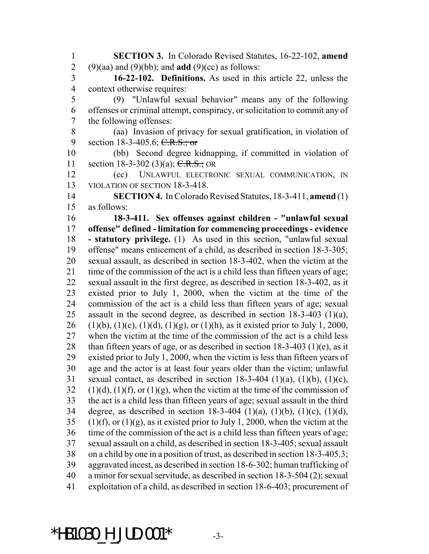**SECTION 3.** In Colorado Revised Statutes, 16-22-102, **amend** (9)(aa) and (9)(bb); and **add** (9)(cc) as follows:

 **16-22-102. Definitions.** As used in this article 22, unless the context otherwise requires:

 (9) "Unlawful sexual behavior" means any of the following offenses or criminal attempt, conspiracy, or solicitation to commit any of the following offenses:

 (aa) Invasion of privacy for sexual gratification, in violation of 9 section 18-3-405.6; C.R.S.; or

 (bb) Second degree kidnapping, if committed in violation of 11 section 18-3-302 (3)(a);  $C.R.S.;$  OR

 (cc) UNLAWFUL ELECTRONIC SEXUAL COMMUNICATION, IN VIOLATION OF SECTION 18-3-418.

 **SECTION 4.** In Colorado Revised Statutes, 18-3-411, **amend** (1) as follows:

 **18-3-411. Sex offenses against children - "unlawful sexual offense" defined - limitation for commencing proceedings - evidence - statutory privilege.** (1) As used in this section, "unlawful sexual offense" means enticement of a child, as described in section 18-3-305; sexual assault, as described in section 18-3-402, when the victim at the time of the commission of the act is a child less than fifteen years of age; sexual assault in the first degree, as described in section 18-3-402, as it existed prior to July 1, 2000, when the victim at the time of the commission of the act is a child less than fifteen years of age; sexual assault in the second degree, as described in section 18-3-403 (1)(a), 26 (1)(b), (1)(c), (1)(d), (1)(g), or (1)(h), as it existed prior to July 1, 2000, when the victim at the time of the commission of the act is a child less 28 than fifteen years of age, or as described in section  $18-3-403$  (1)(e), as it existed prior to July 1, 2000, when the victim is less than fifteen years of age and the actor is at least four years older than the victim; unlawful 31 sexual contact, as described in section  $18-3-404$  (1)(a), (1)(b), (1)(c), 32 (1)(d), (1)(f), or (1)(g), when the victim at the time of the commission of the act is a child less than fifteen years of age; sexual assault in the third degree, as described in section 18-3-404 (1)(a), (1)(b), (1)(c), (1)(d), 35 (1)(f), or (1)(g), as it existed prior to July 1, 2000, when the victim at the time of the commission of the act is a child less than fifteen years of age; sexual assault on a child, as described in section 18-3-405; sexual assault on a child by one in a position of trust, as described in section 18-3-405.3; aggravated incest, as described in section 18-6-302; human trafficking of a minor for sexual servitude, as described in section 18-3-504 (2); sexual exploitation of a child, as described in section 18-6-403; procurement of

 $*$ HB1030 H JUD.001 $*$  -3-